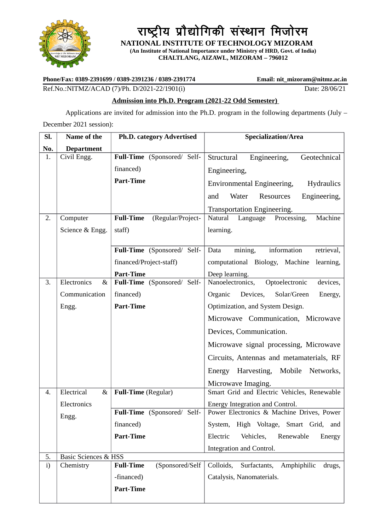

राष्ट्रीय प्रौद्योगिकी संस्थान मिजोरम

 **NATIONAL INSTITUTE OF TECHNOLOGY MIZORAM (An Institute of National Importance under Ministry of HRD, Govt. of India) CHALTLANG, AIZAWL, MIZORAM – 796012**

**Phone/Fax: 0389-2391699 / 0389-2391236 / 0389-2391774 Email: nit\_mizoram@nitmz.ac.in**

Ref.No.:NITMZ/ACAD (7)/Ph. D/2021-22/1901(i) Date: 28/06/21

#### **Admission into Ph.D. Program (2021-22 Odd Semester)**

Applications are invited for admission into the Ph.D. program in the following departments (July –

December 2021 session):

| SI. | Name of the                     | <b>Ph.D. category Advertised</b>      | Specialization/Area                             |
|-----|---------------------------------|---------------------------------------|-------------------------------------------------|
| No. | <b>Department</b>               |                                       |                                                 |
| 1.  | Civil Engg.                     | Full-Time (Sponsored/ Self-           | Structural<br>Geotechnical<br>Engineering,      |
|     |                                 | financed)                             | Engineering,                                    |
|     |                                 | <b>Part-Time</b>                      | Environmental Engineering,<br><b>Hydraulics</b> |
|     |                                 |                                       | Water<br>Engineering,<br>and<br>Resources       |
|     |                                 |                                       | Transportation Engineering.                     |
| 2.  | Computer                        | <b>Full-Time</b><br>(Regular/Project- | Processing,<br>Machine<br>Natural<br>Language   |
|     | Science & Engg.                 | staff)                                | learning.                                       |
|     |                                 |                                       |                                                 |
|     |                                 | Full-Time (Sponsored/ Self-           | mining,<br>information<br>Data<br>retrieval,    |
|     |                                 | financed/Project-staff)               | computational Biology, Machine<br>learning,     |
|     |                                 | <b>Part-Time</b>                      | Deep learning.                                  |
| 3.  | Electronics<br>8 <sub>x</sub>   | Full-Time (Sponsored/ Self-           | Optoelectronic<br>Nanoelectronics,<br>devices,  |
|     | Communication                   | financed)                             | Organic<br>Devices,<br>Solar/Green<br>Energy,   |
|     | Engg.                           | <b>Part-Time</b>                      | Optimization, and System Design.                |
|     |                                 |                                       | Microwave Communication, Microwave              |
|     |                                 |                                       | Devices, Communication.                         |
|     |                                 |                                       | Microwave signal processing, Microwave          |
|     |                                 |                                       | Circuits, Antennas and metamaterials, RF        |
|     |                                 |                                       | Energy Harvesting, Mobile Networks,             |
|     |                                 |                                       | Microwave Imaging.                              |
| 4.  | Electrical<br>$\&$              | <b>Full-Time</b> (Regular)            | Smart Grid and Electric Vehicles, Renewable     |
|     | Electronics                     |                                       | Energy Integration and Control.                 |
|     | Engg.                           | Full-Time (Sponsored/ Self-           | Power Electronics & Machine Drives, Power       |
|     |                                 | financed)                             | System, High Voltage, Smart Grid, and           |
|     |                                 | <b>Part-Time</b>                      | Electric<br>Vehicles,<br>Renewable<br>Energy    |
|     |                                 |                                       | Integration and Control.                        |
| 5.  | <b>Basic Sciences &amp; HSS</b> |                                       |                                                 |
| i)  | Chemistry                       | <b>Full-Time</b><br>(Sponsored/Self   | Colloids,<br>Surfactants, Amphiphilic<br>drugs, |
|     |                                 | -financed)                            | Catalysis, Nanomaterials.                       |
|     |                                 | <b>Part-Time</b>                      |                                                 |
|     |                                 |                                       |                                                 |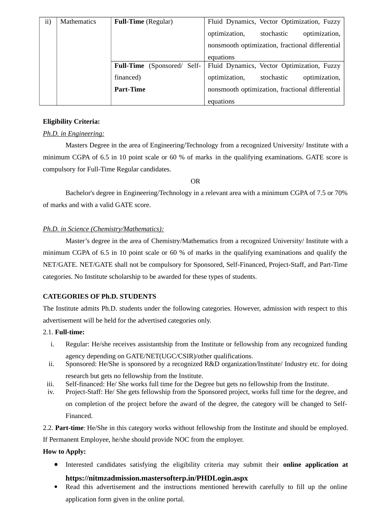| ii) | <b>Mathematics</b> | <b>Full-Time</b> (Regular)         | Fluid Dynamics, Vector Optimization, Fuzzy      |
|-----|--------------------|------------------------------------|-------------------------------------------------|
|     |                    |                                    | optimization,<br>optimization,<br>stochastic    |
|     |                    |                                    | nonsmooth optimization, fractional differential |
|     |                    |                                    | equations                                       |
|     |                    | <b>Full-Time</b> (Sponsored/ Self- | Fluid Dynamics, Vector Optimization, Fuzzy      |
|     |                    | financed)                          | optimization,<br>stochastic<br>optimization,    |
|     |                    | <b>Part-Time</b>                   | nonsmooth optimization, fractional differential |
|     |                    |                                    | equations                                       |

#### **Eligibility Criteria:**

#### *Ph.D. in Engineering:*

Masters Degree in the area of Engineering/Technology from a recognized University/ Institute with a minimum CGPA of 6.5 in 10 point scale or 60 % of marks in the qualifying examinations. GATE score is compulsory for Full-Time Regular candidates.

OR

Bachelor's degree in Engineering/Technology in a relevant area with a minimum CGPA of 7.5 or 70% of marks and with a valid GATE score.

### *Ph.D. in Science (Chemistry/Mathematics):*

Master's degree in the area of Chemistry/Mathematics from a recognized University/ Institute with a minimum CGPA of 6.5 in 10 point scale or 60 % of marks in the qualifying examinations and qualify the NET/GATE. NET/GATE shall not be compulsory for Sponsored, Self-Financed, Project-Staff, and Part-Time categories. No Institute scholarship to be awarded for these types of students.

## **CATEGORIES OF Ph.D. STUDENTS**

The Institute admits Ph.D. students under the following categories. However, admission with respect to this advertisement will be held for the advertised categories only.

#### 2.1. **Full-time:**

- i. Regular: He/she receives assistantship from the Institute or fellowship from any recognized funding agency depending on GATE/NET(UGC/CSIR)/other qualifications.
- ii. Sponsored: He/She is sponsored by a recognized R&D organization/Institute/ Industry etc. for doing research but gets no fellowship from the Institute.
- iii. Self-financed: He/ She works full time for the Degree but gets no fellowship from the Institute.
- iv. Project-Staff: He/ She gets fellowship from the Sponsored project, works full time for the degree, and on completion of the project before the award of the degree, the category will be changed to Self-Financed.

2.2. **Part-time**: He/She in this category works without fellowship from the Institute and should be employed.

If Permanent Employee, he/she should provide NOC from the employer.

#### **How to Apply:**

Interested candidates satisfying the eligibility criteria may submit their **online application at**

# **https://nitmzadmission.mastersofterp.in/PHDLogin.aspx**

 Read this advertisement and the instructions mentioned herewith carefully to fill up the online application form given in the online portal.